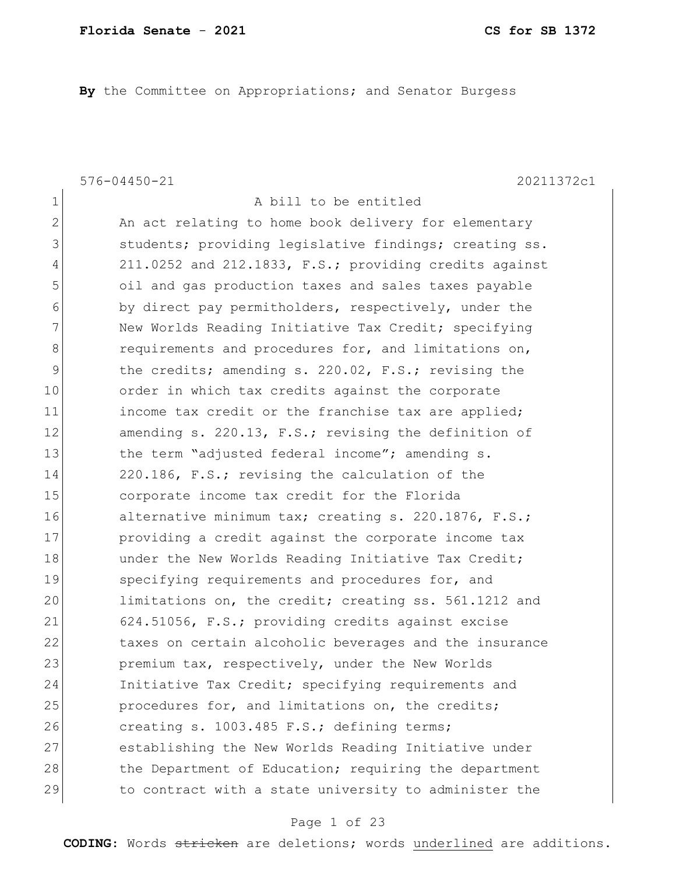**By** the Committee on Appropriations; and Senator Burgess

576-04450-21 20211372c1

| $\mathbf 1$ | A bill to be entitled                                  |
|-------------|--------------------------------------------------------|
| 2           | An act relating to home book delivery for elementary   |
| 3           | students; providing legislative findings; creating ss. |
| 4           | 211.0252 and 212.1833, F.S.; providing credits against |
| 5           | oil and gas production taxes and sales taxes payable   |
| 6           | by direct pay permitholders, respectively, under the   |
| 7           | New Worlds Reading Initiative Tax Credit; specifying   |
| 8           | requirements and procedures for, and limitations on,   |
| 9           | the credits; amending s. 220.02, F.S.; revising the    |
| 10          | order in which tax credits against the corporate       |
| 11          | income tax credit or the franchise tax are applied;    |
| 12          | amending s. 220.13, F.S.; revising the definition of   |
| 13          | the term "adjusted federal income"; amending s.        |
| 14          | 220.186, F.S.; revising the calculation of the         |
| 15          | corporate income tax credit for the Florida            |
| 16          | alternative minimum tax; creating s. 220.1876, F.S.;   |
| 17          | providing a credit against the corporate income tax    |
| 18          | under the New Worlds Reading Initiative Tax Credit;    |
| 19          | specifying requirements and procedures for, and        |
| 20          | limitations on, the credit; creating ss. 561.1212 and  |
| 21          | 624.51056, F.S.; providing credits against excise      |
| 22          | taxes on certain alcoholic beverages and the insurance |
| 23          | premium tax, respectively, under the New Worlds        |
| 24          | Initiative Tax Credit; specifying requirements and     |
| 25          | procedures for, and limitations on, the credits;       |
| 26          | creating s. 1003.485 F.S.; defining terms;             |
| 27          | establishing the New Worlds Reading Initiative under   |
| 28          | the Department of Education; requiring the department  |
| 29          | to contract with a state university to administer the  |

#### Page 1 of 23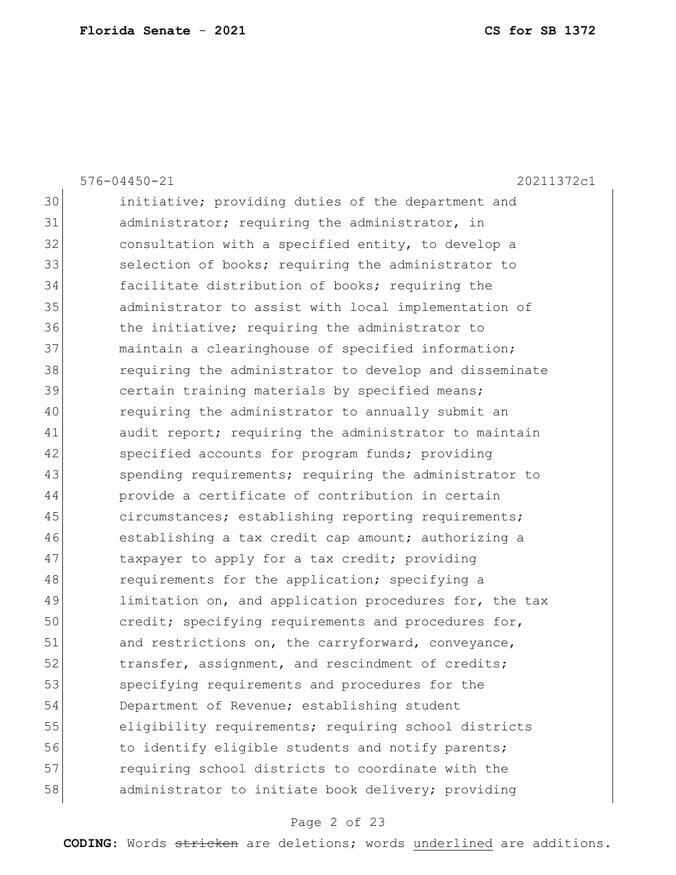|    | $576 - 04450 - 21$<br>20211372c1                       |
|----|--------------------------------------------------------|
| 30 | initiative; providing duties of the department and     |
| 31 | administrator; requiring the administrator, in         |
| 32 | consultation with a specified entity, to develop a     |
| 33 | selection of books; requiring the administrator to     |
| 34 | facilitate distribution of books; requiring the        |
| 35 | administrator to assist with local implementation of   |
| 36 | the initiative; requiring the administrator to         |
| 37 | maintain a clearinghouse of specified information;     |
| 38 | requiring the administrator to develop and disseminate |
| 39 | certain training materials by specified means;         |
| 40 | requiring the administrator to annually submit an      |
| 41 | audit report; requiring the administrator to maintain  |
| 42 | specified accounts for program funds; providing        |
| 43 | spending requirements; requiring the administrator to  |
| 44 | provide a certificate of contribution in certain       |
| 45 | circumstances; establishing reporting requirements;    |
| 46 | establishing a tax credit cap amount; authorizing a    |
| 47 | taxpayer to apply for a tax credit; providing          |
| 48 | requirements for the application; specifying a         |
| 49 | limitation on, and application procedures for, the tax |
| 50 | credit; specifying requirements and procedures for,    |
| 51 | and restrictions on, the carryforward, conveyance,     |
| 52 | transfer, assignment, and rescindment of credits;      |
| 53 | specifying requirements and procedures for the         |
| 54 | Department of Revenue; establishing student            |
| 55 | eligibility requirements; requiring school districts   |
| 56 | to identify eligible students and notify parents;      |
| 57 | requiring school districts to coordinate with the      |
| 58 | administrator to initiate book delivery; providing     |

# Page 2 of 23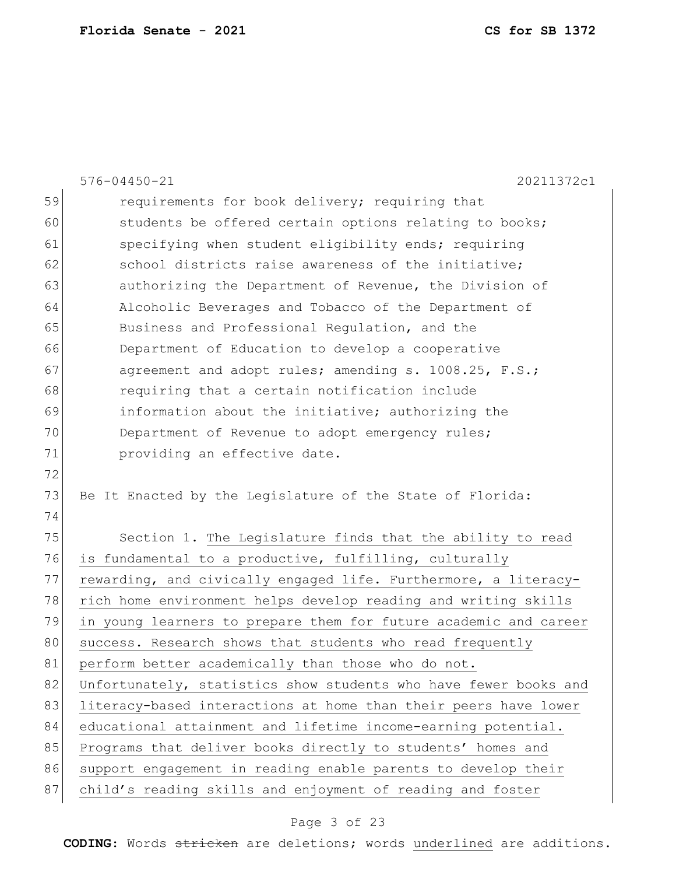|    | $576 - 04450 - 21$<br>20211372c1                                 |
|----|------------------------------------------------------------------|
| 59 | requirements for book delivery; requiring that                   |
| 60 | students be offered certain options relating to books;           |
| 61 | specifying when student eligibility ends; requiring              |
| 62 | school districts raise awareness of the initiative;              |
| 63 | authorizing the Department of Revenue, the Division of           |
| 64 | Alcoholic Beverages and Tobacco of the Department of             |
| 65 | Business and Professional Regulation, and the                    |
| 66 | Department of Education to develop a cooperative                 |
| 67 | agreement and adopt rules; amending s. 1008.25, F.S.;            |
| 68 | requiring that a certain notification include                    |
| 69 | information about the initiative; authorizing the                |
| 70 | Department of Revenue to adopt emergency rules;                  |
| 71 | providing an effective date.                                     |
| 72 |                                                                  |
| 73 | Be It Enacted by the Legislature of the State of Florida:        |
| 74 |                                                                  |
| 75 | Section 1. The Legislature finds that the ability to read        |
| 76 | is fundamental to a productive, fulfilling, culturally           |
| 77 | rewarding, and civically engaged life. Furthermore, a literacy-  |
| 78 | rich home environment helps develop reading and writing skills   |
| 79 | in young learners to prepare them for future academic and career |
| 80 | success. Research shows that students who read frequently        |
| 81 | perform better academically than those who do not.               |
| 82 | Unfortunately, statistics show students who have fewer books and |
| 83 | literacy-based interactions at home than their peers have lower  |
| 84 | educational attainment and lifetime income-earning potential.    |
| 85 | Programs that deliver books directly to students' homes and      |
| 86 | support engagement in reading enable parents to develop their    |
| 87 | child's reading skills and enjoyment of reading and foster       |

# Page 3 of 23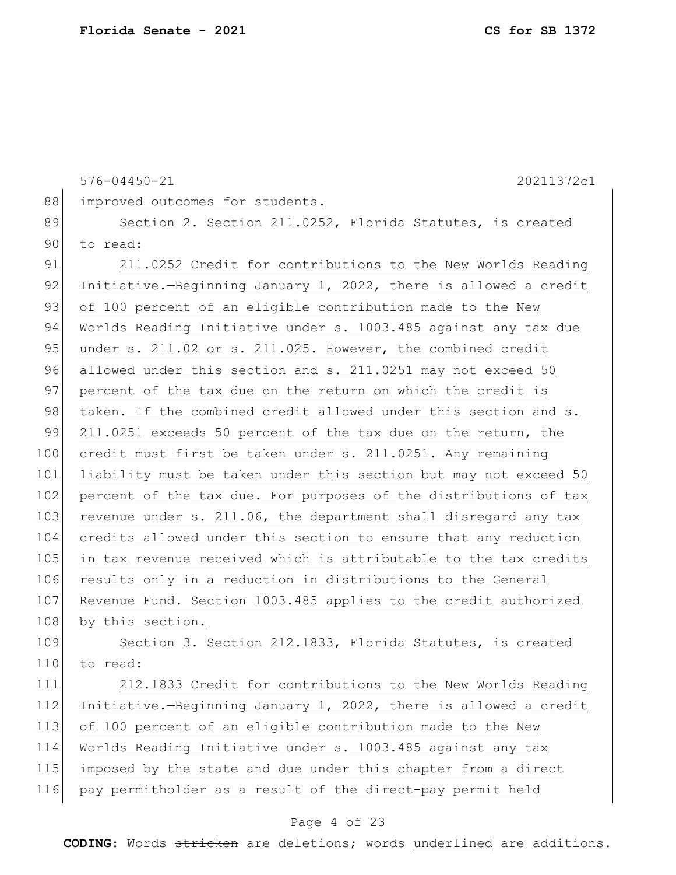576-04450-21 20211372c1 88 improved outcomes for students. 89 Section 2. Section 211.0252, Florida Statutes, is created 90 to read: 91 211.0252 Credit for contributions to the New Worlds Reading 92 Initiative.—Beginning January 1, 2022, there is allowed a credit 93 of 100 percent of an eligible contribution made to the New 94 Worlds Reading Initiative under s. 1003.485 against any tax due 95 under s. 211.02 or s. 211.025. However, the combined credit 96 allowed under this section and s. 211.0251 may not exceed 50 97 percent of the tax due on the return on which the credit is 98 taken. If the combined credit allowed under this section and s. 99 211.0251 exceeds 50 percent of the tax due on the return, the 100 credit must first be taken under s. 211.0251. Any remaining 101 liability must be taken under this section but may not exceed 50 102 percent of the tax due. For purposes of the distributions of tax 103 revenue under s. 211.06, the department shall disregard any tax 104 credits allowed under this section to ensure that any reduction 105 in tax revenue received which is attributable to the tax credits 106 results only in a reduction in distributions to the General 107 Revenue Fund. Section 1003.485 applies to the credit authorized 108 by this section. 109 Section 3. Section 212.1833, Florida Statutes, is created 110 to read: 111 212.1833 Credit for contributions to the New Worlds Reading 112 Initiative.—Beginning January 1, 2022, there is allowed a credit 113 of 100 percent of an eligible contribution made to the New 114 Worlds Reading Initiative under s. 1003.485 against any tax 115 imposed by the state and due under this chapter from a direct 116 pay permitholder as a result of the direct-pay permit held

#### Page 4 of 23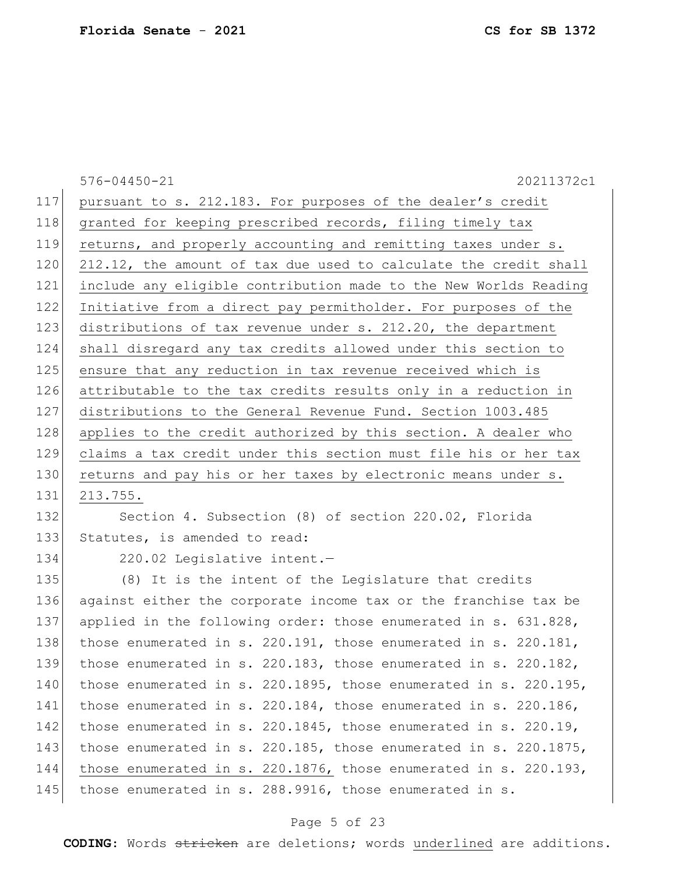|     | $576 - 04450 - 21$<br>20211372c1                                       |
|-----|------------------------------------------------------------------------|
| 117 | pursuant to s. 212.183. For purposes of the dealer's credit            |
| 118 | granted for keeping prescribed records, filing timely tax              |
| 119 | returns, and properly accounting and remitting taxes under s.          |
| 120 | 212.12, the amount of tax due used to calculate the credit shall       |
| 121 | include any eligible contribution made to the New Worlds Reading       |
| 122 | Initiative from a direct pay permitholder. For purposes of the         |
| 123 | distributions of tax revenue under s. 212.20, the department           |
| 124 | shall disregard any tax credits allowed under this section to          |
| 125 | ensure that any reduction in tax revenue received which is             |
| 126 | attributable to the tax credits results only in a reduction in         |
| 127 | distributions to the General Revenue Fund. Section 1003.485            |
| 128 | applies to the credit authorized by this section. A dealer who         |
| 129 | claims a tax credit under this section must file his or her tax        |
| 130 | returns and pay his or her taxes by electronic means under s.          |
| 131 | 213.755.                                                               |
| 132 | Section 4. Subsection (8) of section 220.02, Florida                   |
| 133 | Statutes, is amended to read:                                          |
| 134 | 220.02 Legislative intent.-                                            |
| 135 | (8) It is the intent of the Legislature that credits                   |
| 136 | against either the corporate income tax or the franchise tax be        |
| 137 | applied in the following order: those enumerated in s. 631.828,        |
| 138 | those enumerated in s. 220.191, those enumerated in s. 220.181,        |
| 139 | those enumerated in s. $220.183$ , those enumerated in s. $220.182$ ,  |
| 140 | those enumerated in s. 220.1895, those enumerated in s. 220.195,       |
| 141 | those enumerated in s. $220.184$ , those enumerated in s. $220.186$ ,  |
| 142 | those enumerated in s. $220.1845$ , those enumerated in s. $220.19$ ,  |
| 143 | those enumerated in s. 220.185, those enumerated in s. 220.1875,       |
| 144 | those enumerated in s. $220.1876$ , those enumerated in s. $220.193$ , |
| 145 | those enumerated in s. 288.9916, those enumerated in s.                |
|     |                                                                        |

# Page 5 of 23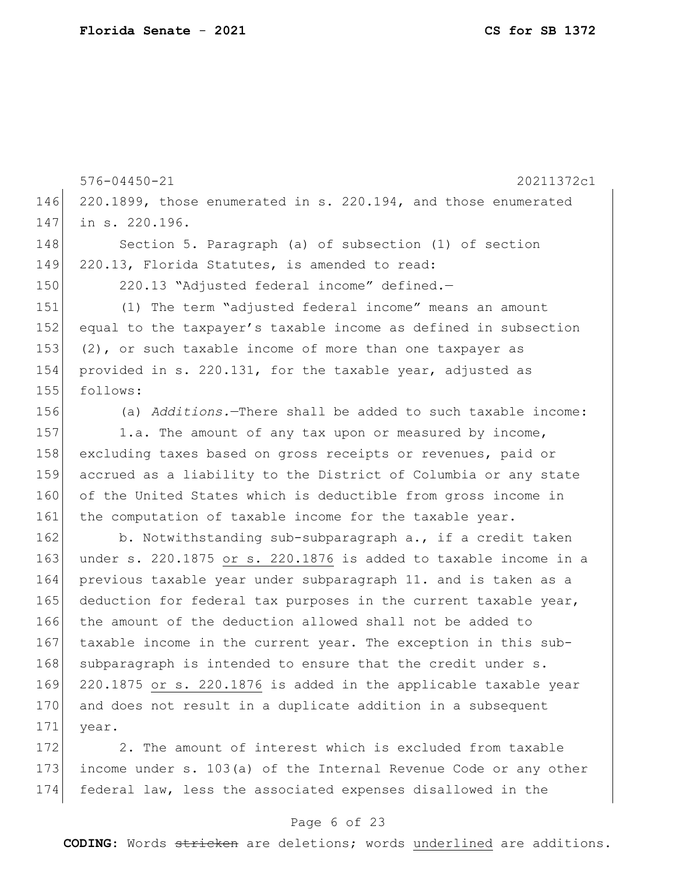576-04450-21 20211372c1 146 220.1899, those enumerated in s. 220.194, and those enumerated 147 in s. 220.196. 148 Section 5. Paragraph (a) of subsection (1) of section 149 220.13, Florida Statutes, is amended to read: 150 220.13 "Adjusted federal income" defined.— 151 (1) The term "adjusted federal income" means an amount 152 equal to the taxpayer's taxable income as defined in subsection 153  $(2)$ , or such taxable income of more than one taxpayer as 154 provided in s. 220.131, for the taxable year, adjusted as 155 follows: 156 (a) *Additions.*—There shall be added to such taxable income: 157 1.a. The amount of any tax upon or measured by income, 158 excluding taxes based on gross receipts or revenues, paid or 159 accrued as a liability to the District of Columbia or any state 160 of the United States which is deductible from gross income in 161 the computation of taxable income for the taxable year. 162 b. Notwithstanding sub-subparagraph a., if a credit taken 163 under s. 220.1875 or s. 220.1876 is added to taxable income in a 164 previous taxable year under subparagraph 11. and is taken as a 165 deduction for federal tax purposes in the current taxable year, 166 the amount of the deduction allowed shall not be added to 167 taxable income in the current year. The exception in this sub-168 subparagraph is intended to ensure that the credit under s. 169 220.1875 or s. 220.1876 is added in the applicable taxable year 170 and does not result in a duplicate addition in a subsequent 171 year.

172 2. The amount of interest which is excluded from taxable 173 income under s. 103(a) of the Internal Revenue Code or any other 174 federal law, less the associated expenses disallowed in the

#### Page 6 of 23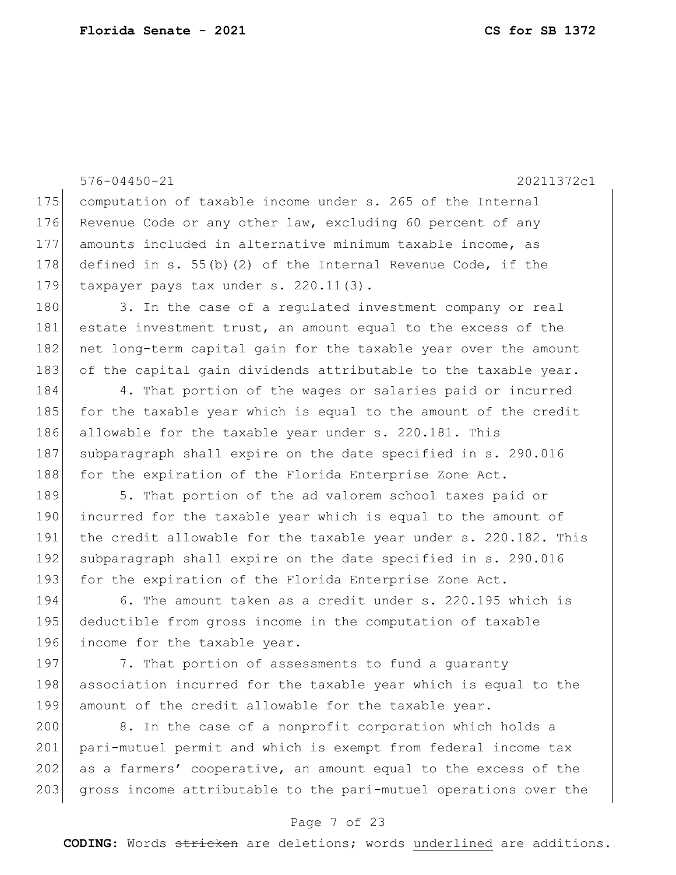576-04450-21 20211372c1 175 computation of taxable income under s. 265 of the Internal 176 Revenue Code or any other law, excluding 60 percent of any 177 amounts included in alternative minimum taxable income, as 178 defined in s. 55(b)(2) of the Internal Revenue Code, if the 179 taxpayer pays tax under s. 220.11(3). 180 3. In the case of a regulated investment company or real 181 estate investment trust, an amount equal to the excess of the 182 net long-term capital gain for the taxable year over the amount 183 of the capital gain dividends attributable to the taxable year. 184 4. That portion of the wages or salaries paid or incurred 185 for the taxable year which is equal to the amount of the credit 186 allowable for the taxable year under s. 220.181. This 187 subparagraph shall expire on the date specified in s. 290.016 188 for the expiration of the Florida Enterprise Zone Act. 189 5. That portion of the ad valorem school taxes paid or 190 incurred for the taxable year which is equal to the amount of 191 the credit allowable for the taxable year under s. 220.182. This 192 subparagraph shall expire on the date specified in s. 290.016 193 for the expiration of the Florida Enterprise Zone Act. 194 6. The amount taken as a credit under s. 220.195 which is 195 deductible from gross income in the computation of taxable 196 income for the taxable year. 197 7. That portion of assessments to fund a quaranty 198 association incurred for the taxable year which is equal to the 199 amount of the credit allowable for the taxable year. 200 8. In the case of a nonprofit corporation which holds a

201 pari-mutuel permit and which is exempt from federal income tax 202 as a farmers' cooperative, an amount equal to the excess of the 203 gross income attributable to the pari-mutuel operations over the

#### Page 7 of 23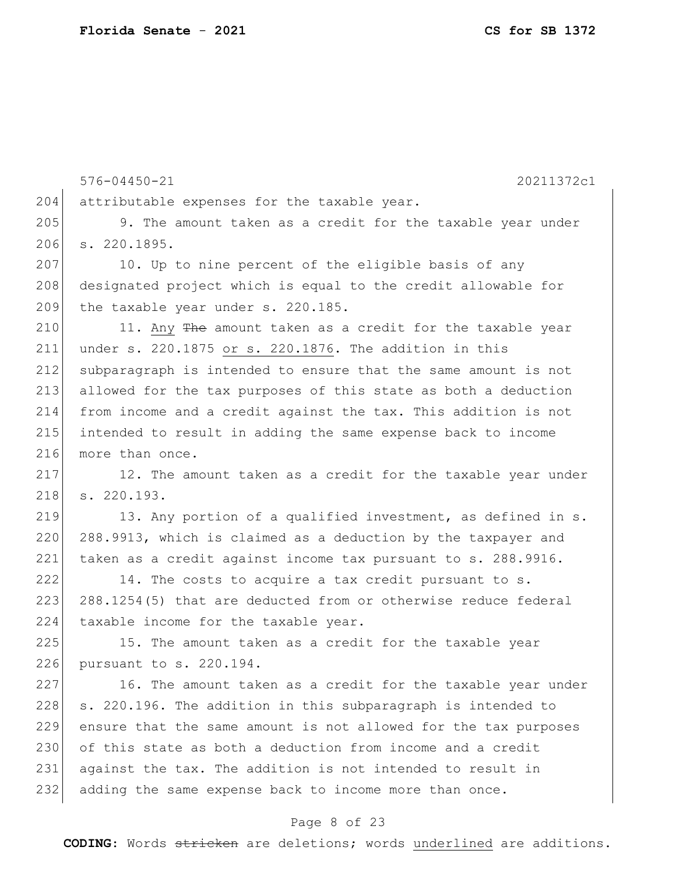576-04450-21 20211372c1 204 attributable expenses for the taxable year. 205 9. The amount taken as a credit for the taxable year under 206 s. 220.1895. 207 10. Up to nine percent of the eligible basis of any 208 designated project which is equal to the credit allowable for 209 the taxable year under s. 220.185. 210 11. Any The amount taken as a credit for the taxable year 211 under s. 220.1875 or s. 220.1876. The addition in this 212 subparagraph is intended to ensure that the same amount is not 213 allowed for the tax purposes of this state as both a deduction 214 from income and a credit against the tax. This addition is not 215 intended to result in adding the same expense back to income 216 more than once. 217 12. The amount taken as a credit for the taxable year under 218 s. 220.193. 219 13. Any portion of a qualified investment, as defined in s. 220 288.9913, which is claimed as a deduction by the taxpayer and 221 taken as a credit against income tax pursuant to s. 288.9916. 222 14. The costs to acquire a tax credit pursuant to s. 223 288.1254(5) that are deducted from or otherwise reduce federal 224 taxable income for the taxable year. 225 15. The amount taken as a credit for the taxable year 226 pursuant to s. 220.194. 227 16. The amount taken as a credit for the taxable year under 228 s. 220.196. The addition in this subparagraph is intended to 229 ensure that the same amount is not allowed for the tax purposes 230 of this state as both a deduction from income and a credit 231 against the tax. The addition is not intended to result in 232 adding the same expense back to income more than once.

#### Page 8 of 23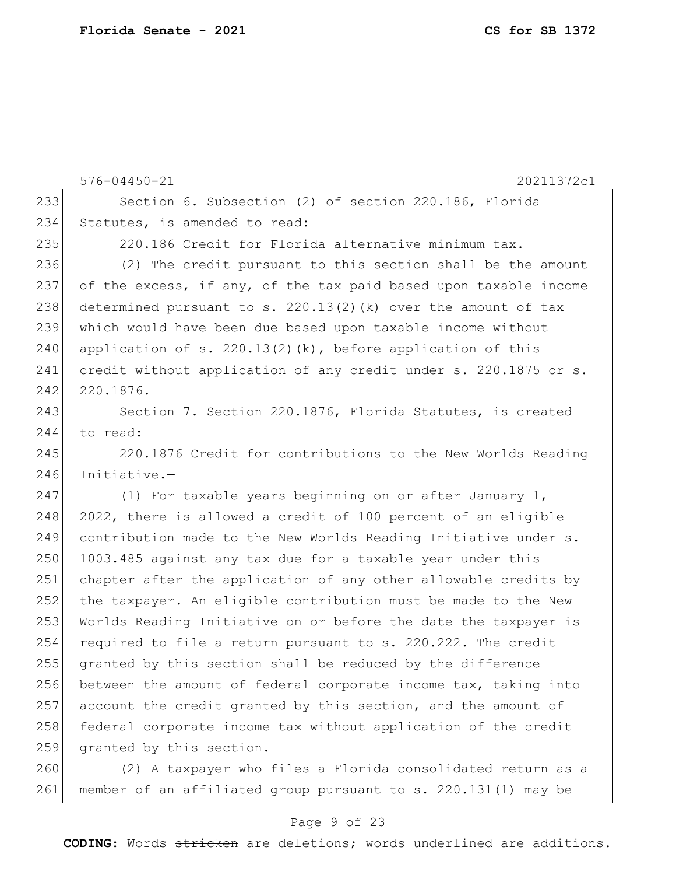|     | $576 - 04450 - 21$<br>20211372c1                                 |
|-----|------------------------------------------------------------------|
| 233 | Section 6. Subsection (2) of section 220.186, Florida            |
| 234 | Statutes, is amended to read:                                    |
| 235 | 220.186 Credit for Florida alternative minimum tax.-             |
| 236 | (2) The credit pursuant to this section shall be the amount      |
| 237 | of the excess, if any, of the tax paid based upon taxable income |
| 238 | determined pursuant to s. $220.13(2)$ (k) over the amount of tax |
| 239 | which would have been due based upon taxable income without      |
| 240 | application of s. $220.13(2)(k)$ , before application of this    |
| 241 | credit without application of any credit under s. 220.1875 or s. |
| 242 | 220.1876.                                                        |
| 243 | Section 7. Section 220.1876, Florida Statutes, is created        |
| 244 | to read:                                                         |
| 245 | 220.1876 Credit for contributions to the New Worlds Reading      |
| 246 | Initiative.-                                                     |
| 247 | (1) For taxable years beginning on or after January 1,           |
| 248 | 2022, there is allowed a credit of 100 percent of an eligible    |
| 249 | contribution made to the New Worlds Reading Initiative under s.  |
| 250 | 1003.485 against any tax due for a taxable year under this       |
| 251 | chapter after the application of any other allowable credits by  |
| 252 | the taxpayer. An eligible contribution must be made to the New   |
| 253 | Worlds Reading Initiative on or before the date the taxpayer is  |
| 254 | required to file a return pursuant to s. 220.222. The credit     |
| 255 | granted by this section shall be reduced by the difference       |
| 256 | between the amount of federal corporate income tax, taking into  |
| 257 | account the credit granted by this section, and the amount of    |
| 258 | federal corporate income tax without application of the credit   |
| 259 | granted by this section.                                         |
| 260 | (2) A taxpayer who files a Florida consolidated return as a      |
| 261 | member of an affiliated group pursuant to s. 220.131(1) may be   |

# Page 9 of 23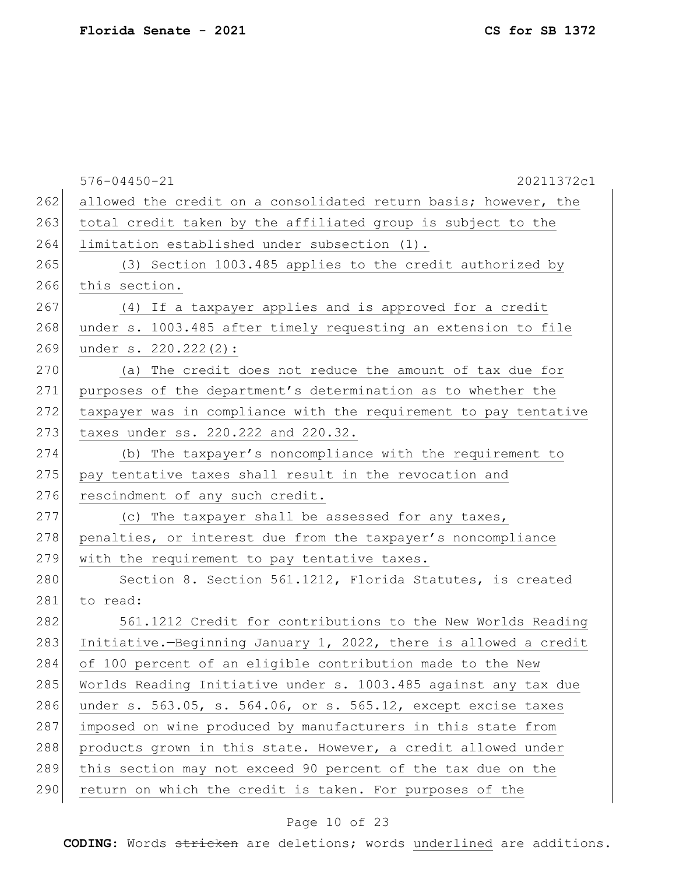|     | $576 - 04450 - 21$<br>20211372c1                                 |
|-----|------------------------------------------------------------------|
| 262 | allowed the credit on a consolidated return basis; however, the  |
| 263 | total credit taken by the affiliated group is subject to the     |
| 264 | limitation established under subsection (1).                     |
| 265 | (3) Section 1003.485 applies to the credit authorized by         |
| 266 | this section.                                                    |
| 267 | (4) If a taxpayer applies and is approved for a credit           |
| 268 | under s. 1003.485 after timely requesting an extension to file   |
| 269 | under s. 220.222(2):                                             |
| 270 | (a) The credit does not reduce the amount of tax due for         |
| 271 | purposes of the department's determination as to whether the     |
| 272 | taxpayer was in compliance with the requirement to pay tentative |
| 273 | taxes under ss. 220.222 and 220.32.                              |
| 274 | (b) The taxpayer's noncompliance with the requirement to         |
| 275 | pay tentative taxes shall result in the revocation and           |
| 276 | rescindment of any such credit.                                  |
| 277 | (c) The taxpayer shall be assessed for any taxes,                |
| 278 | penalties, or interest due from the taxpayer's noncompliance     |
| 279 | with the requirement to pay tentative taxes.                     |
| 280 | Section 8. Section 561.1212, Florida Statutes, is created        |
| 281 | to read:                                                         |
| 282 | 561.1212 Credit for contributions to the New Worlds Reading      |
| 283 | Initiative.-Beginning January 1, 2022, there is allowed a credit |
| 284 | of 100 percent of an eligible contribution made to the New       |
| 285 | Worlds Reading Initiative under s. 1003.485 against any tax due  |
| 286 | under s. 563.05, s. 564.06, or s. 565.12, except excise taxes    |
| 287 | imposed on wine produced by manufacturers in this state from     |
| 288 | products grown in this state. However, a credit allowed under    |
| 289 | this section may not exceed 90 percent of the tax due on the     |
| 290 | return on which the credit is taken. For purposes of the         |

# Page 10 of 23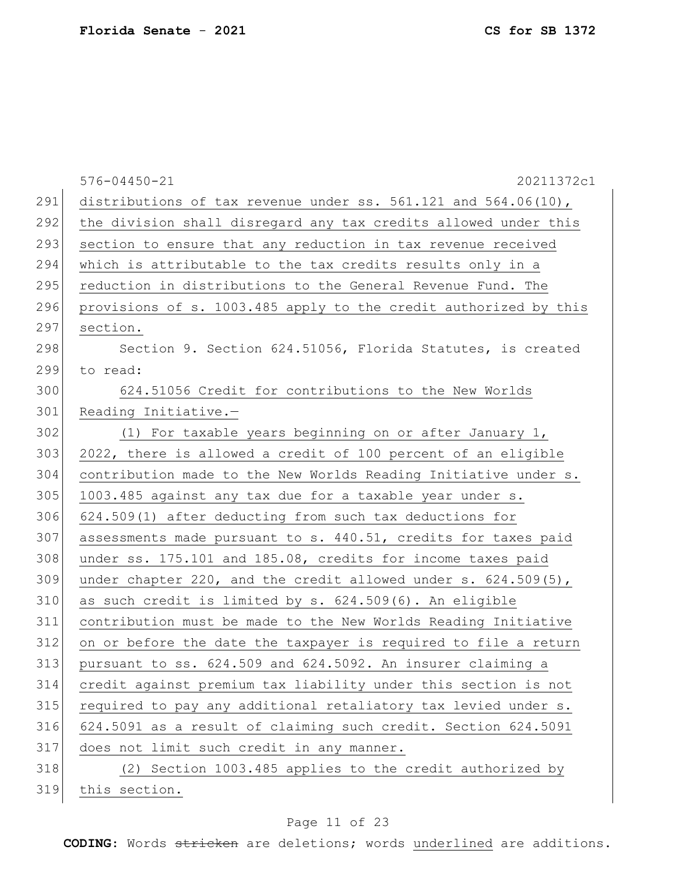|     | $576 - 04450 - 21$<br>20211372c1                                    |
|-----|---------------------------------------------------------------------|
| 291 | distributions of tax revenue under ss. $561.121$ and $564.06(10)$ , |
| 292 | the division shall disregard any tax credits allowed under this     |
| 293 | section to ensure that any reduction in tax revenue received        |
| 294 | which is attributable to the tax credits results only in a          |
| 295 | reduction in distributions to the General Revenue Fund. The         |
| 296 | provisions of s. 1003.485 apply to the credit authorized by this    |
| 297 | section.                                                            |
| 298 | Section 9. Section 624.51056, Florida Statutes, is created          |
| 299 | to read:                                                            |
| 300 | 624.51056 Credit for contributions to the New Worlds                |
| 301 | Reading Initiative.-                                                |
| 302 | (1) For taxable years beginning on or after January 1,              |
| 303 | 2022, there is allowed a credit of 100 percent of an eligible       |
| 304 | contribution made to the New Worlds Reading Initiative under s.     |
| 305 | 1003.485 against any tax due for a taxable year under s.            |
| 306 | 624.509(1) after deducting from such tax deductions for             |
| 307 | assessments made pursuant to s. 440.51, credits for taxes paid      |
| 308 | under ss. 175.101 and 185.08, credits for income taxes paid         |
| 309 | under chapter 220, and the credit allowed under $s. 624.509(5)$ ,   |
| 310 | as such credit is limited by s. 624.509(6). An eligible             |
| 311 | contribution must be made to the New Worlds Reading Initiative      |
| 312 | on or before the date the taxpayer is required to file a return     |
| 313 | pursuant to ss. 624.509 and 624.5092. An insurer claiming a         |
| 314 | credit against premium tax liability under this section is not      |
| 315 | required to pay any additional retaliatory tax levied under s.      |
| 316 | 624.5091 as a result of claiming such credit. Section 624.5091      |
| 317 | does not limit such credit in any manner.                           |
| 318 | (2) Section 1003.485 applies to the credit authorized by            |
| 319 | this section.                                                       |

# Page 11 of 23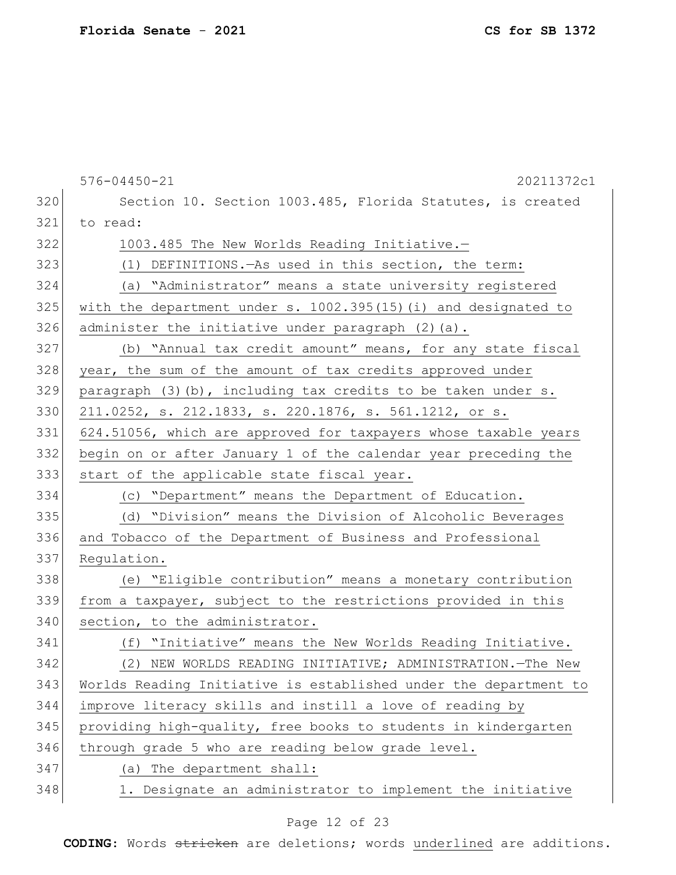576-04450-21 20211372c1 320 Section 10. Section 1003.485, Florida Statutes, is created 321 to read: 322 1003.485 The New Worlds Reading Initiative.-323 (1) DEFINITIONS.—As used in this section, the term: 324 (a) "Administrator" means a state university registered 325 with the department under s. 1002.395(15)(i) and designated to 326 administer the initiative under paragraph (2)(a). 327 (b) "Annual tax credit amount" means, for any state fiscal 328 year, the sum of the amount of tax credits approved under  $329$  paragraph  $(3)(b)$ , including tax credits to be taken under s. 330 211.0252, s. 212.1833, s. 220.1876, s. 561.1212, or s. 331 624.51056, which are approved for taxpayers whose taxable years 332 begin on or after January 1 of the calendar year preceding the 333 start of the applicable state fiscal year. 334 (c) "Department" means the Department of Education. 335 (d) "Division" means the Division of Alcoholic Beverages 336 and Tobacco of the Department of Business and Professional 337 Regulation. 338 (e) "Eligible contribution" means a monetary contribution 339 from a taxpayer, subject to the restrictions provided in this 340 section, to the administrator. 341 (f) "Initiative" means the New Worlds Reading Initiative. 342 (2) NEW WORLDS READING INITIATIVE; ADMINISTRATION.—The New 343 Worlds Reading Initiative is established under the department to 344 improve literacy skills and instill a love of reading by 345 providing high-quality, free books to students in kindergarten 346 through grade 5 who are reading below grade level. 347 (a) The department shall: 348 1. Designate an administrator to implement the initiative

#### Page 12 of 23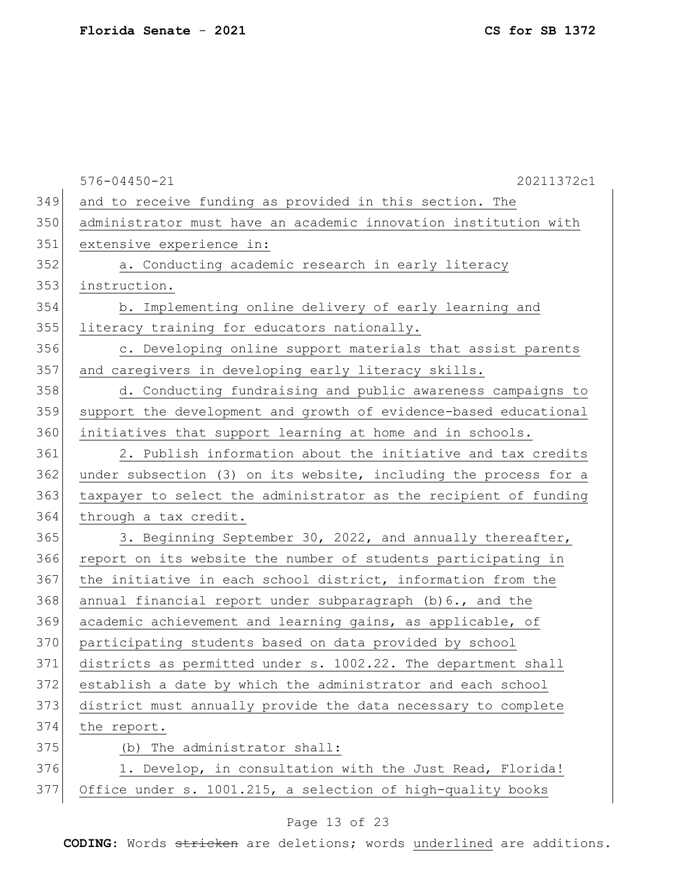|     | $576 - 04450 - 21$<br>20211372c1                                 |
|-----|------------------------------------------------------------------|
| 349 | and to receive funding as provided in this section. The          |
| 350 | administrator must have an academic innovation institution with  |
| 351 | extensive experience in:                                         |
| 352 | a. Conducting academic research in early literacy                |
| 353 | instruction.                                                     |
| 354 | b. Implementing online delivery of early learning and            |
| 355 | literacy training for educators nationally.                      |
| 356 | c. Developing online support materials that assist parents       |
| 357 | and caregivers in developing early literacy skills.              |
| 358 | d. Conducting fundraising and public awareness campaigns to      |
| 359 | support the development and growth of evidence-based educational |
| 360 | initiatives that support learning at home and in schools.        |
| 361 | 2. Publish information about the initiative and tax credits      |
| 362 | under subsection (3) on its website, including the process for a |
| 363 | taxpayer to select the administrator as the recipient of funding |
| 364 | through a tax credit.                                            |
| 365 | 3. Beginning September 30, 2022, and annually thereafter,        |
| 366 | report on its website the number of students participating in    |
| 367 | the initiative in each school district, information from the     |
| 368 | annual financial report under subparagraph (b) 6., and the       |
| 369 | academic achievement and learning gains, as applicable, of       |
| 370 | participating students based on data provided by school          |
| 371 | districts as permitted under s. 1002.22. The department shall    |
| 372 | establish a date by which the administrator and each school      |
| 373 | district must annually provide the data necessary to complete    |
| 374 | the report.                                                      |
| 375 | The administrator shall:<br>(b)                                  |
| 376 | 1. Develop, in consultation with the Just Read, Florida!         |
| 377 | Office under s. 1001.215, a selection of high-quality books      |
|     |                                                                  |

# Page 13 of 23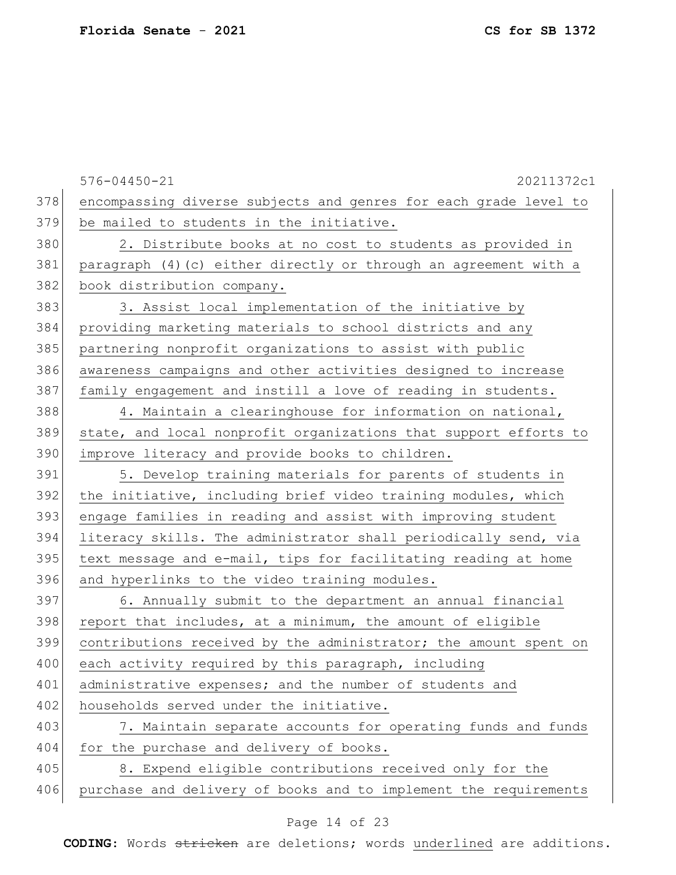|     | $576 - 04450 - 21$<br>20211372c1                                 |
|-----|------------------------------------------------------------------|
| 378 | encompassing diverse subjects and genres for each grade level to |
| 379 | be mailed to students in the initiative.                         |
| 380 | 2. Distribute books at no cost to students as provided in        |
| 381 | paragraph (4) (c) either directly or through an agreement with a |
| 382 | book distribution company.                                       |
| 383 | 3. Assist local implementation of the initiative by              |
| 384 | providing marketing materials to school districts and any        |
| 385 | partnering nonprofit organizations to assist with public         |
| 386 | awareness campaigns and other activities designed to increase    |
| 387 | family engagement and instill a love of reading in students.     |
| 388 | 4. Maintain a clearinghouse for information on national,         |
| 389 | state, and local nonprofit organizations that support efforts to |
| 390 | improve literacy and provide books to children.                  |
| 391 | 5. Develop training materials for parents of students in         |
| 392 | the initiative, including brief video training modules, which    |
| 393 | engage families in reading and assist with improving student     |
| 394 | literacy skills. The administrator shall periodically send, via  |
| 395 | text message and e-mail, tips for facilitating reading at home   |
| 396 | and hyperlinks to the video training modules.                    |
| 397 | 6. Annually submit to the department an annual financial         |
| 398 | report that includes, at a minimum, the amount of eligible       |
| 399 | contributions received by the administrator; the amount spent on |
| 400 | each activity required by this paragraph, including              |
| 401 | administrative expenses; and the number of students and          |
| 402 | households served under the initiative.                          |
| 403 | 7. Maintain separate accounts for operating funds and funds      |
| 404 | for the purchase and delivery of books.                          |
| 405 | 8. Expend eligible contributions received only for the           |
| 406 | purchase and delivery of books and to implement the requirements |

# Page 14 of 23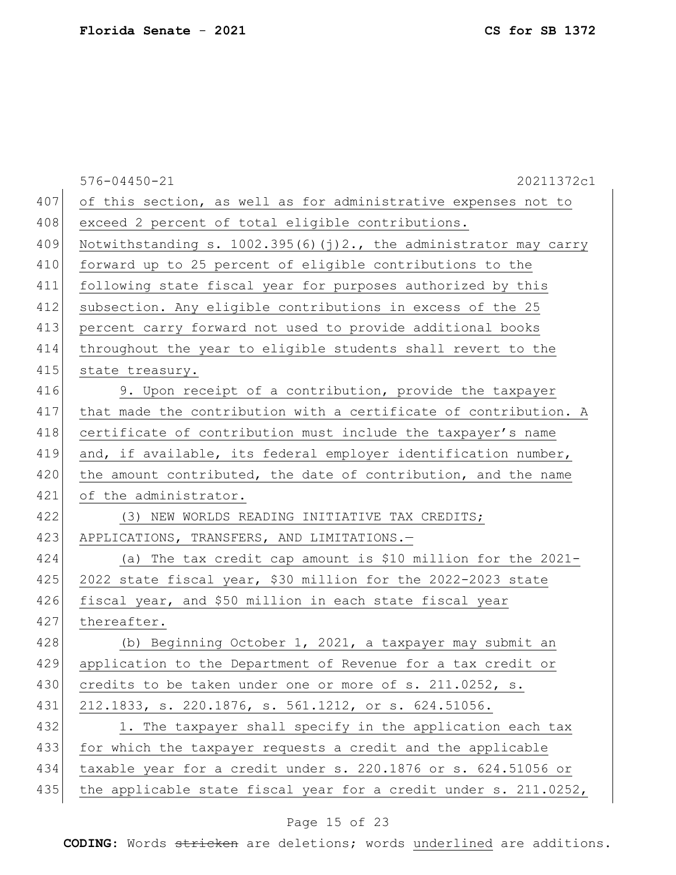|     | $576 - 04450 - 21$<br>20211372c1                                    |
|-----|---------------------------------------------------------------------|
| 407 | of this section, as well as for administrative expenses not to      |
| 408 | exceed 2 percent of total eligible contributions.                   |
| 409 | Notwithstanding s. $1002.395(6)(j)2.$ , the administrator may carry |
| 410 | forward up to 25 percent of eligible contributions to the           |
| 411 | following state fiscal year for purposes authorized by this         |
| 412 | subsection. Any eligible contributions in excess of the 25          |
| 413 | percent carry forward not used to provide additional books          |
| 414 | throughout the year to eligible students shall revert to the        |
| 415 | state treasury.                                                     |
| 416 | 9. Upon receipt of a contribution, provide the taxpayer             |
| 417 | that made the contribution with a certificate of contribution. A    |
| 418 | certificate of contribution must include the taxpayer's name        |
| 419 | and, if available, its federal employer identification number,      |
| 420 | the amount contributed, the date of contribution, and the name      |
| 421 | of the administrator.                                               |
| 422 | (3) NEW WORLDS READING INITIATIVE TAX CREDITS;                      |
| 423 | APPLICATIONS, TRANSFERS, AND LIMITATIONS.-                          |
| 424 | (a) The tax credit cap amount is \$10 million for the 2021-         |
| 425 | 2022 state fiscal year, \$30 million for the 2022-2023 state        |
| 426 | fiscal year, and \$50 million in each state fiscal year             |
| 427 | thereafter.                                                         |
| 428 | (b) Beginning October 1, 2021, a taxpayer may submit an             |
| 429 | application to the Department of Revenue for a tax credit or        |
| 430 | credits to be taken under one or more of s. 211.0252, s.            |
| 431 | 212.1833, s. 220.1876, s. 561.1212, or s. 624.51056.                |
| 432 | 1. The taxpayer shall specify in the application each tax           |
| 433 | for which the taxpayer requests a credit and the applicable         |
| 434 | taxable year for a credit under s. 220.1876 or s. 624.51056 or      |
| 435 | the applicable state fiscal year for a credit under s. 211.0252,    |

# Page 15 of 23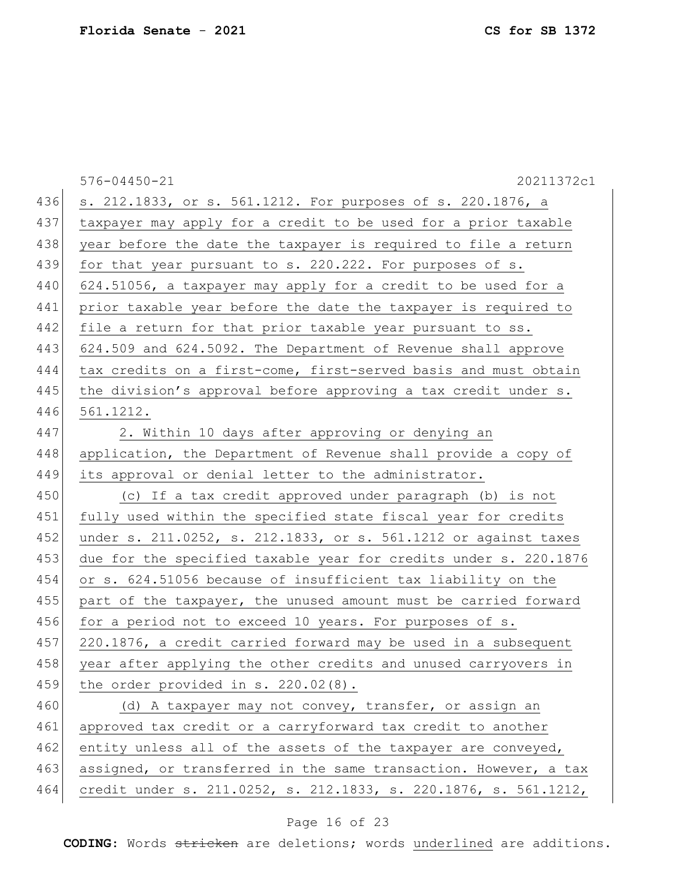|     | 20211372c1<br>$576 - 04450 - 21$                                 |
|-----|------------------------------------------------------------------|
| 436 | s. 212.1833, or s. 561.1212. For purposes of s. 220.1876, a      |
| 437 | taxpayer may apply for a credit to be used for a prior taxable   |
| 438 | year before the date the taxpayer is required to file a return   |
| 439 | for that year pursuant to s. 220.222. For purposes of s.         |
| 440 | 624.51056, a taxpayer may apply for a credit to be used for a    |
| 441 | prior taxable year before the date the taxpayer is required to   |
| 442 | file a return for that prior taxable year pursuant to ss.        |
| 443 | 624.509 and 624.5092. The Department of Revenue shall approve    |
| 444 | tax credits on a first-come, first-served basis and must obtain  |
| 445 | the division's approval before approving a tax credit under s.   |
| 446 | 561.1212.                                                        |
| 447 | 2. Within 10 days after approving or denying an                  |
| 448 | application, the Department of Revenue shall provide a copy of   |
| 449 | its approval or denial letter to the administrator.              |
| 450 | (c) If a tax credit approved under paragraph (b) is not          |
| 451 | fully used within the specified state fiscal year for credits    |
| 452 | under s. 211.0252, s. 212.1833, or s. 561.1212 or against taxes  |
| 453 | due for the specified taxable year for credits under s. 220.1876 |
| 454 | or s. 624.51056 because of insufficient tax liability on the     |
| 455 | part of the taxpayer, the unused amount must be carried forward  |
| 456 | for a period not to exceed 10 years. For purposes of s.          |
| 457 | 220.1876, a credit carried forward may be used in a subsequent   |
| 458 | year after applying the other credits and unused carryovers in   |
| 459 | the order provided in $s. 220.02(8)$ .                           |
| 460 | (d) A taxpayer may not convey, transfer, or assign an            |
| 461 | approved tax credit or a carryforward tax credit to another      |
| 462 | entity unless all of the assets of the taxpayer are conveyed,    |
| 463 | assigned, or transferred in the same transaction. However, a tax |
| 464 | credit under s. 211.0252, s. 212.1833, s. 220.1876, s. 561.1212, |

# Page 16 of 23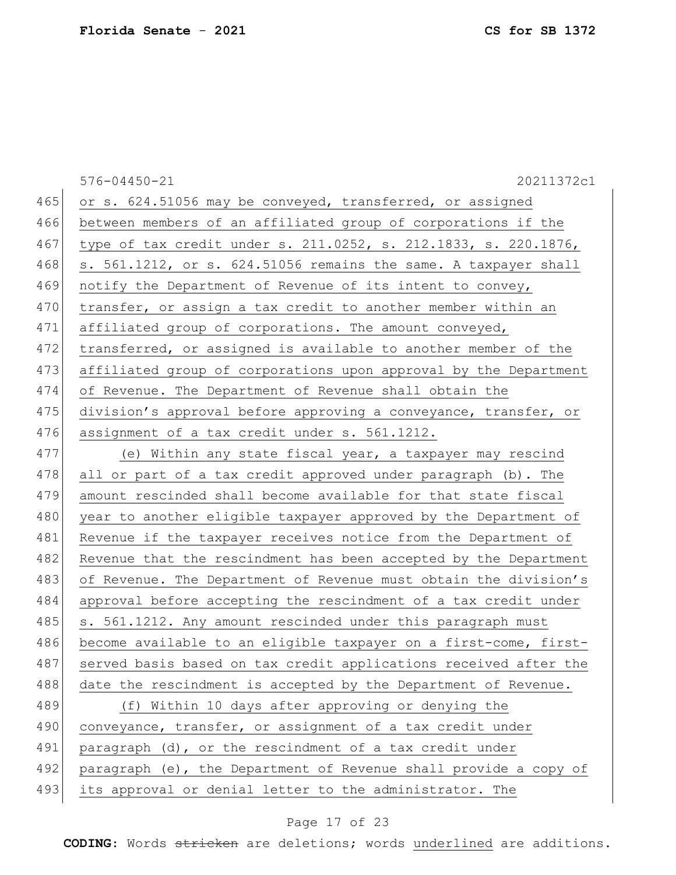|     | 20211372c1<br>$576 - 04450 - 21$                                 |
|-----|------------------------------------------------------------------|
| 465 | or s. 624.51056 may be conveyed, transferred, or assigned        |
| 466 | between members of an affiliated group of corporations if the    |
| 467 | type of tax credit under s. 211.0252, s. 212.1833, s. 220.1876,  |
| 468 | s. 561.1212, or s. 624.51056 remains the same. A taxpayer shall  |
| 469 | notify the Department of Revenue of its intent to convey,        |
| 470 | transfer, or assign a tax credit to another member within an     |
| 471 | affiliated group of corporations. The amount conveyed,           |
| 472 | transferred, or assigned is available to another member of the   |
| 473 | affiliated group of corporations upon approval by the Department |
| 474 | of Revenue. The Department of Revenue shall obtain the           |
| 475 | division's approval before approving a conveyance, transfer, or  |
| 476 | assignment of a tax credit under s. 561.1212.                    |
| 477 | (e) Within any state fiscal year, a taxpayer may rescind         |
| 478 | all or part of a tax credit approved under paragraph (b). The    |
| 479 | amount rescinded shall become available for that state fiscal    |
| 480 | year to another eligible taxpayer approved by the Department of  |
| 481 | Revenue if the taxpayer receives notice from the Department of   |
| 482 | Revenue that the rescindment has been accepted by the Department |
| 483 | of Revenue. The Department of Revenue must obtain the division's |
| 484 | approval before accepting the rescindment of a tax credit under  |
| 485 | s. 561.1212. Any amount rescinded under this paragraph must      |
| 486 | become available to an eligible taxpayer on a first-come, first- |
| 487 | served basis based on tax credit applications received after the |
| 488 | date the rescindment is accepted by the Department of Revenue.   |
| 489 | (f) Within 10 days after approving or denying the                |
| 490 | conveyance, transfer, or assignment of a tax credit under        |
| 491 | paragraph (d), or the rescindment of a tax credit under          |
| 492 | paragraph (e), the Department of Revenue shall provide a copy of |
| 493 | its approval or denial letter to the administrator. The          |

# Page 17 of 23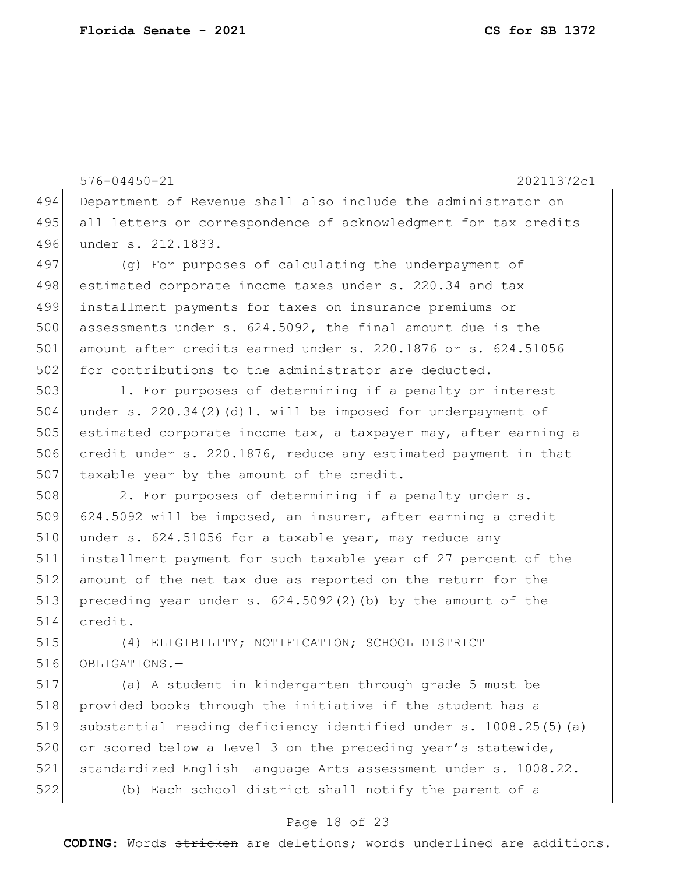|     | $576 - 04450 - 21$<br>20211372c1                                  |
|-----|-------------------------------------------------------------------|
| 494 | Department of Revenue shall also include the administrator on     |
| 495 | all letters or correspondence of acknowledgment for tax credits   |
| 496 | under s. 212.1833.                                                |
| 497 | (g) For purposes of calculating the underpayment of               |
| 498 | estimated corporate income taxes under s. 220.34 and tax          |
| 499 | installment payments for taxes on insurance premiums or           |
| 500 | assessments under s. 624.5092, the final amount due is the        |
| 501 | amount after credits earned under s. 220.1876 or s. 624.51056     |
| 502 | for contributions to the administrator are deducted.              |
| 503 | 1. For purposes of determining if a penalty or interest           |
| 504 | under s. $220.34(2)(d)1.$ will be imposed for underpayment of     |
| 505 | estimated corporate income tax, a taxpayer may, after earning a   |
| 506 | credit under s. 220.1876, reduce any estimated payment in that    |
| 507 | taxable year by the amount of the credit.                         |
| 508 | 2. For purposes of determining if a penalty under s.              |
| 509 | 624.5092 will be imposed, an insurer, after earning a credit      |
| 510 | under s. 624.51056 for a taxable year, may reduce any             |
| 511 | installment payment for such taxable year of 27 percent of the    |
| 512 | amount of the net tax due as reported on the return for the       |
| 513 | preceding year under $s. 624.5092(2)$ (b) by the amount of the    |
| 514 | credit.                                                           |
| 515 | (4) ELIGIBILITY; NOTIFICATION; SCHOOL DISTRICT                    |
| 516 | OBLIGATIONS.-                                                     |
| 517 | (a) A student in kindergarten through grade 5 must be             |
| 518 | provided books through the initiative if the student has a        |
| 519 | substantial reading deficiency identified under s. 1008.25(5) (a) |
| 520 | or scored below a Level 3 on the preceding year's statewide,      |
| 521 | standardized English Language Arts assessment under s. 1008.22.   |
| 522 | (b) Each school district shall notify the parent of a             |

# Page 18 of 23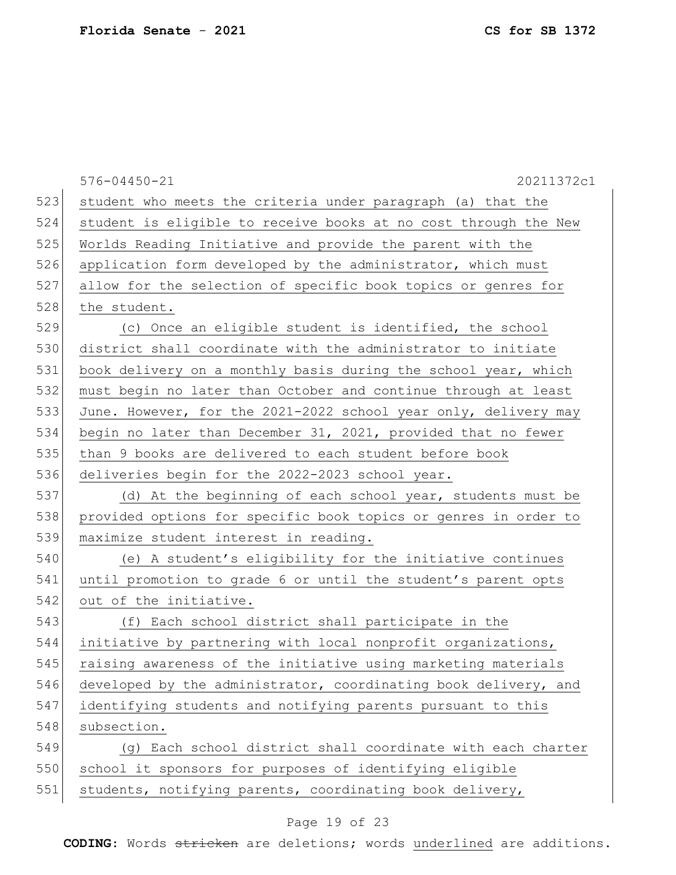|     | 20211372c1<br>$576 - 04450 - 21$                                |
|-----|-----------------------------------------------------------------|
| 523 | student who meets the criteria under paragraph (a) that the     |
| 524 | student is eligible to receive books at no cost through the New |
| 525 | Worlds Reading Initiative and provide the parent with the       |
| 526 | application form developed by the administrator, which must     |
| 527 | allow for the selection of specific book topics or genres for   |
| 528 | the student.                                                    |
| 529 | (c) Once an eligible student is identified, the school          |
| 530 | district shall coordinate with the administrator to initiate    |
| 531 | book delivery on a monthly basis during the school year, which  |
| 532 | must begin no later than October and continue through at least  |
| 533 | June. However, for the 2021-2022 school year only, delivery may |
| 534 | begin no later than December 31, 2021, provided that no fewer   |
| 535 | than 9 books are delivered to each student before book          |
| 536 | deliveries begin for the 2022-2023 school year.                 |
| 537 | (d) At the beginning of each school year, students must be      |
| 538 | provided options for specific book topics or genres in order to |
| 539 | maximize student interest in reading.                           |
| 540 | (e) A student's eligibility for the initiative continues        |
| 541 | until promotion to grade 6 or until the student's parent opts   |
| 542 | out of the initiative.                                          |
| 543 | (f) Each school district shall participate in the               |
| 544 | initiative by partnering with local nonprofit organizations,    |
| 545 | raising awareness of the initiative using marketing materials   |
| 546 | developed by the administrator, coordinating book delivery, and |
| 547 | identifying students and notifying parents pursuant to this     |
| 548 | subsection.                                                     |
| 549 | (g) Each school district shall coordinate with each charter     |
| 550 | school it sponsors for purposes of identifying eligible         |
| 551 | students, notifying parents, coordinating book delivery,        |

# Page 19 of 23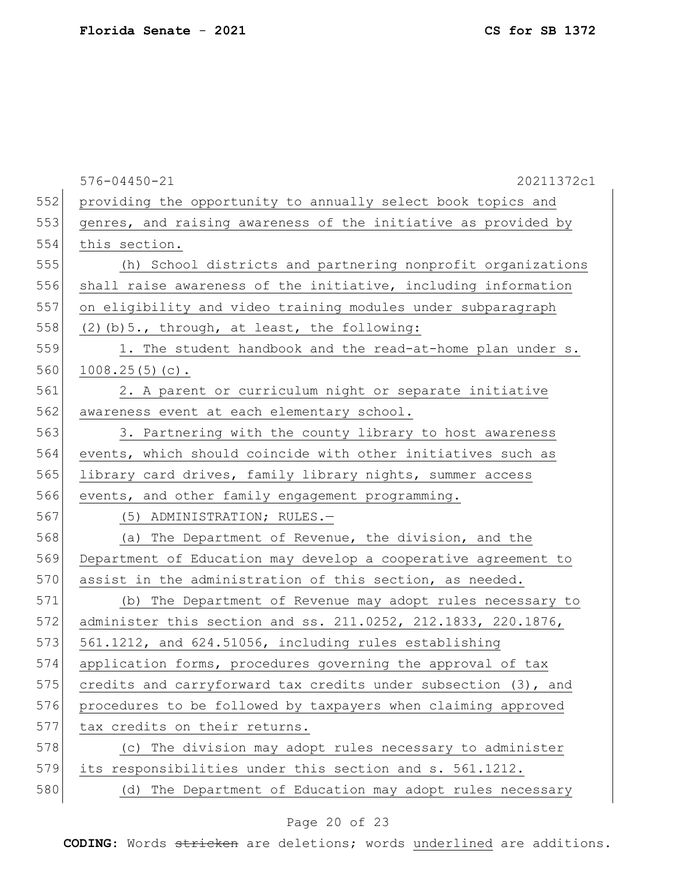576-04450-21 20211372c1 552 providing the opportunity to annually select book topics and 553 genres, and raising awareness of the initiative as provided by 554 this section. 555 (h) School districts and partnering nonprofit organizations 556 shall raise awareness of the initiative, including information 557 on eligibility and video training modules under subparagraph 558 (2)(b)  $5.$ , through, at least, the following: 559 1. The student handbook and the read-at-home plan under s. 560  $1008.25(5)(c)$ . 561 2. A parent or curriculum night or separate initiative 562 awareness event at each elementary school. 563 3. Partnering with the county library to host awareness 564 events, which should coincide with other initiatives such as 565 library card drives, family library nights, summer access 566 events, and other family engagement programming. 567 (5) ADMINISTRATION; RULES.— 568 (a) The Department of Revenue, the division, and the 569 Department of Education may develop a cooperative agreement to 570 assist in the administration of this section, as needed. 571 (b) The Department of Revenue may adopt rules necessary to 572 administer this section and ss. 211.0252, 212.1833, 220.1876, 573 561.1212, and 624.51056, including rules establishing 574 application forms, procedures governing the approval of tax 575 credits and carryforward tax credits under subsection (3), and 576 procedures to be followed by taxpayers when claiming approved 577 tax credits on their returns. 578 (c) The division may adopt rules necessary to administer 579 its responsibilities under this section and s. 561.1212. 580 (d) The Department of Education may adopt rules necessary

#### Page 20 of 23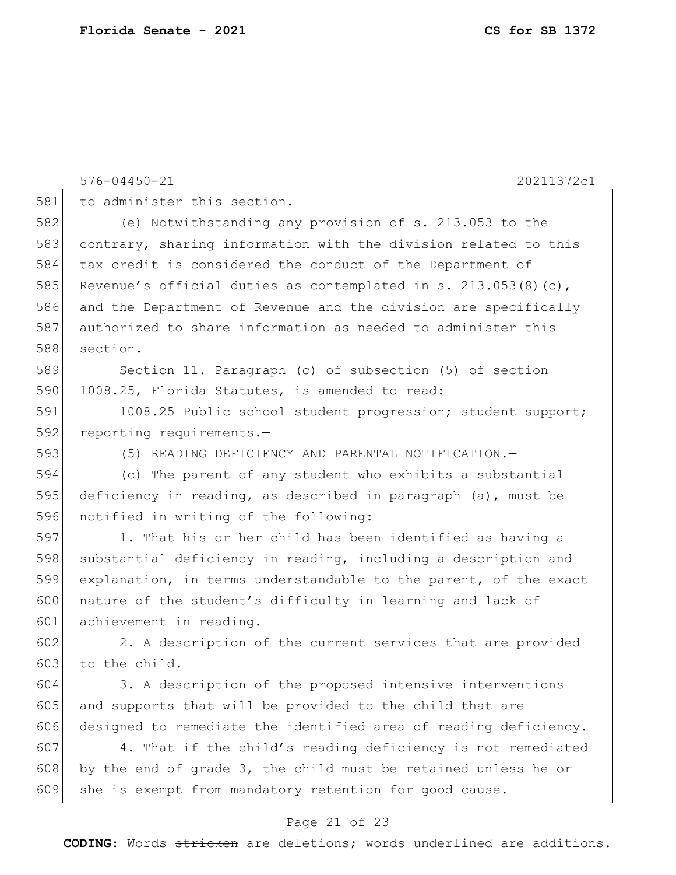576-04450-21 20211372c1 Page 21 of 23 581 to administer this section. 582 (e) Notwithstanding any provision of s. 213.053 to the 583 contrary, sharing information with the division related to this 584 tax credit is considered the conduct of the Department of 585 Revenue's official duties as contemplated in s. 213.053(8)(c), 586 and the Department of Revenue and the division are specifically 587 authorized to share information as needed to administer this 588 section. 589 Section 11. Paragraph (c) of subsection (5) of section 590 1008.25, Florida Statutes, is amended to read: 591 1008.25 Public school student progression; student support; 592 reporting requirements.-593 (5) READING DEFICIENCY AND PARENTAL NOTIFICATION.— 594 (c) The parent of any student who exhibits a substantial 595 deficiency in reading, as described in paragraph (a), must be 596 notified in writing of the following: 597 1. That his or her child has been identified as having a 598 substantial deficiency in reading, including a description and 599 explanation, in terms understandable to the parent, of the exact 600 nature of the student's difficulty in learning and lack of 601 achievement in reading. 602 2. A description of the current services that are provided 603 to the child. 604 3. A description of the proposed intensive interventions 605 and supports that will be provided to the child that are 606 designed to remediate the identified area of reading deficiency. 607 4. That if the child's reading deficiency is not remediated 608 by the end of grade 3, the child must be retained unless he or 609 she is exempt from mandatory retention for good cause.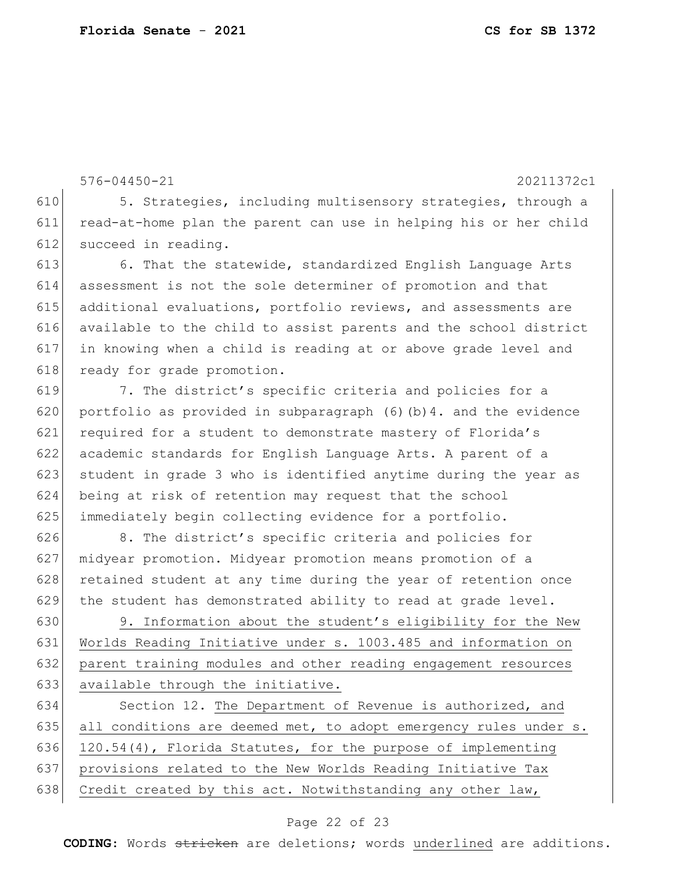576-04450-21 20211372c1 610 5. Strategies, including multisensory strategies, through a 611 read-at-home plan the parent can use in helping his or her child 612 succeed in reading. 613 6. That the statewide, standardized English Language Arts 614 assessment is not the sole determiner of promotion and that 615 additional evaluations, portfolio reviews, and assessments are 616 available to the child to assist parents and the school district 617 in knowing when a child is reading at or above grade level and 618 ready for grade promotion. 619 7. The district's specific criteria and policies for a 620 portfolio as provided in subparagraph (6)(b)4. and the evidence 621 required for a student to demonstrate mastery of Florida's 622 academic standards for English Language Arts. A parent of a 623 student in grade 3 who is identified anytime during the year as 624 being at risk of retention may request that the school 625 immediately begin collecting evidence for a portfolio. 626 8. The district's specific criteria and policies for 627 | midyear promotion. Midyear promotion means promotion of a 628 retained student at any time during the year of retention once

629 the student has demonstrated ability to read at grade level. 630 9. Information about the student's eligibility for the New 631 Worlds Reading Initiative under s. 1003.485 and information on 632 parent training modules and other reading engagement resources

633 available through the initiative. 634 Section 12. The Department of Revenue is authorized, and 635 all conditions are deemed met, to adopt emergency rules under s. 636 120.54(4), Florida Statutes, for the purpose of implementing 637 provisions related to the New Worlds Reading Initiative Tax

638 Credit created by this act. Notwithstanding any other law,

#### Page 22 of 23